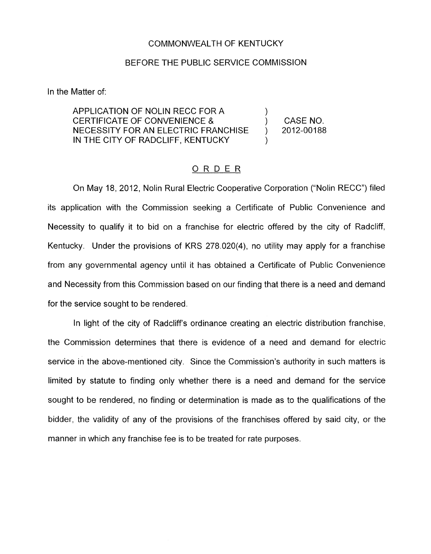## COMMONWEALTH OF KENTUCKY

## BEFORE THE PUBLIC SERVICE COMMISSION

In the Matter of:

APPLICATION OF NOLIN RECC FOR A CERTIFICATE OF CONVENIENCE &  $\qquad \qquad$  CASE NO. NECESSITY FOR AN ELECTRIC FRANCHISE ) 2012-00188 IN 1HE CITY OF RADCLIFF, KENTUCKY

)

)

## ORDER

On May 18, 2012, Nolin Rural Electric Cooperative Corporation ("Nolin RECC") filed its application with the Commission seeking a Certificate of Public Convenience and Necessity to qualify it to bid on a franchise for electric offered by the city of Radcliff, Kentucky. Under the provisions of KRS 278.020(4), no utility may apply for a franchise from any governmental agency until it has obtained a Certificate of Public Convenience and Necessity from this Commission based on our finding that there is a need and demand for the service sought to be rendered.

In light of the city of Radcliff's ordinance creating an electric distribution franchise, the Commission determines that there is evidence of a need and demand for electric service in the above-mentioned city. Since the Commission's authority in such matters is limited by statute to finding only whether there is a need and demand for the service sought to be rendered, no finding or determination is made as to the qualifications of the bidder, the validity of any of the provisions of the franchises offered by said city, or the manner in which any franchise fee is to be treated for rate purposes.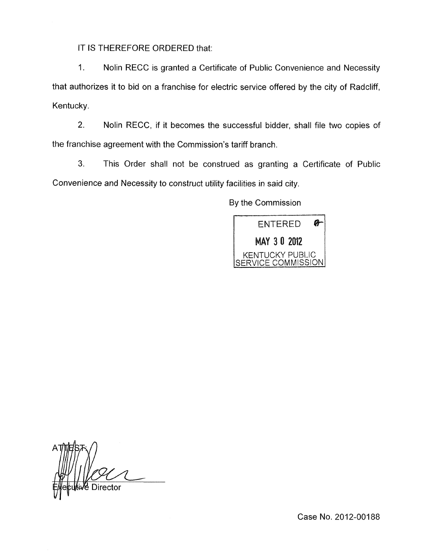IT IS THEREFORE ORDERED that:

1. Nolin RECC is granted a Certificate of Public Convenience and Necessity that authorizes it to bid on a franchise for electric service offered by the city of Radcliff, Kentucky.

2. Nolin RECC, if it becomes the successful bidder, shall file two copies of the franchise agreement with the Commission's tariff branch.

**3.** This Order shall not be construed as granting a Certificate of Public Convenience and Necessity to construct utility facilities in said city.

By the Commission



Case No. 2012-00188